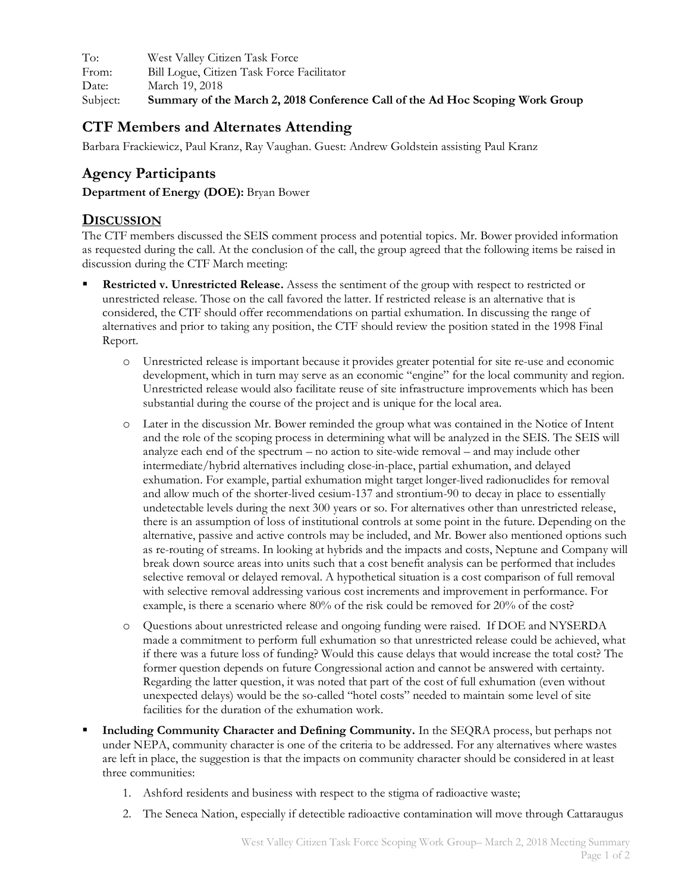To: West Valley Citizen Task Force From: Bill Logue, Citizen Task Force Facilitator Date: March 19, 2018 Subject: **Summary of the March 2, 2018 Conference Call of the Ad Hoc Scoping Work Group**

## **CTF Members and Alternates Attending**

Barbara Frackiewicz, Paul Kranz, Ray Vaughan. Guest: Andrew Goldstein assisting Paul Kranz

## **Agency Participants**

**Department of Energy (DOE):** Bryan Bower

## **DISCUSSION**

The CTF members discussed the SEIS comment process and potential topics. Mr. Bower provided information as requested during the call. At the conclusion of the call, the group agreed that the following items be raised in discussion during the CTF March meeting:

- § **Restricted v. Unrestricted Release.** Assess the sentiment of the group with respect to restricted or unrestricted release. Those on the call favored the latter. If restricted release is an alternative that is considered, the CTF should offer recommendations on partial exhumation. In discussing the range of alternatives and prior to taking any position, the CTF should review the position stated in the 1998 Final Report.
	- o Unrestricted release is important because it provides greater potential for site re-use and economic development, which in turn may serve as an economic "engine" for the local community and region. Unrestricted release would also facilitate reuse of site infrastructure improvements which has been substantial during the course of the project and is unique for the local area.
	- o Later in the discussion Mr. Bower reminded the group what was contained in the Notice of Intent and the role of the scoping process in determining what will be analyzed in the SEIS. The SEIS will analyze each end of the spectrum – no action to site-wide removal – and may include other intermediate/hybrid alternatives including close-in-place, partial exhumation, and delayed exhumation. For example, partial exhumation might target longer-lived radionuclides for removal and allow much of the shorter-lived cesium-137 and strontium-90 to decay in place to essentially undetectable levels during the next 300 years or so. For alternatives other than unrestricted release, there is an assumption of loss of institutional controls at some point in the future. Depending on the alternative, passive and active controls may be included, and Mr. Bower also mentioned options such as re-routing of streams. In looking at hybrids and the impacts and costs, Neptune and Company will break down source areas into units such that a cost benefit analysis can be performed that includes selective removal or delayed removal. A hypothetical situation is a cost comparison of full removal with selective removal addressing various cost increments and improvement in performance. For example, is there a scenario where 80% of the risk could be removed for 20% of the cost?
	- o Questions about unrestricted release and ongoing funding were raised. If DOE and NYSERDA made a commitment to perform full exhumation so that unrestricted release could be achieved, what if there was a future loss of funding? Would this cause delays that would increase the total cost? The former question depends on future Congressional action and cannot be answered with certainty. Regarding the latter question, it was noted that part of the cost of full exhumation (even without unexpected delays) would be the so-called "hotel costs" needed to maintain some level of site facilities for the duration of the exhumation work.
- § **Including Community Character and Defining Community.** In the SEQRA process, but perhaps not under NEPA, community character is one of the criteria to be addressed. For any alternatives where wastes are left in place, the suggestion is that the impacts on community character should be considered in at least three communities:
	- 1. Ashford residents and business with respect to the stigma of radioactive waste;
	- 2. The Seneca Nation, especially if detectible radioactive contamination will move through Cattaraugus